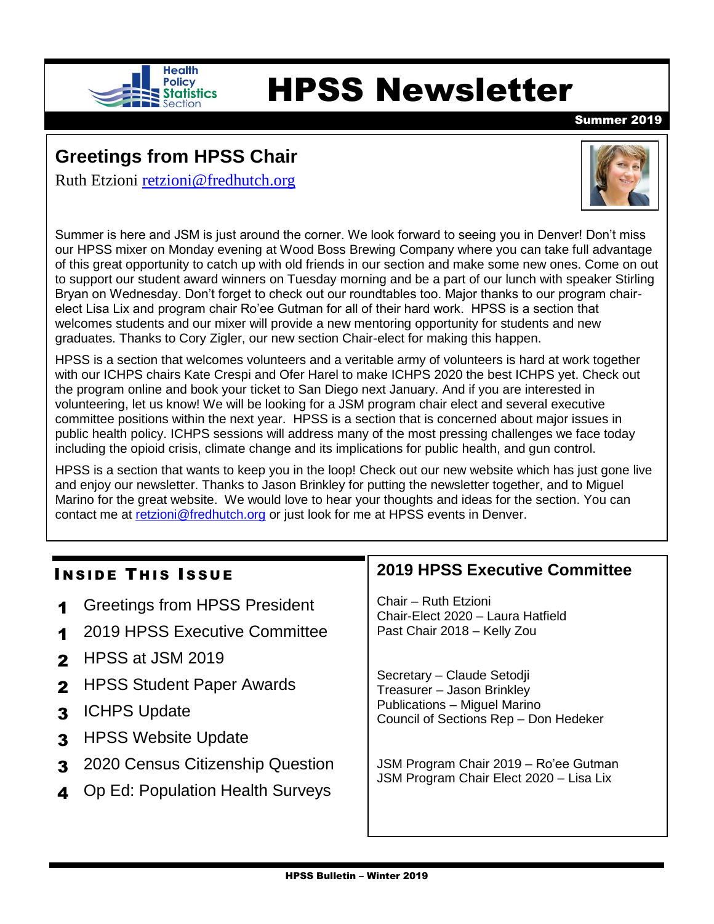

# Health<br>**Expression**<br>Exection

Summer 2019

# **Greetings from HPSS Chair**

Ruth Etzioni [retzioni@fredhutch.org](mailto:retzioni@fredhutch.org)



Summer is here and JSM is just around the corner. We look forward to seeing you in Denver! Don't miss our HPSS mixer on Monday evening at Wood Boss Brewing Company where you can take full advantage of this great opportunity to catch up with old friends in our section and make some new ones. Come on out to support our student award winners on Tuesday morning and be a part of our lunch with speaker Stirling Bryan on Wednesday. Don't forget to check out our roundtables too. Major thanks to our program chairelect Lisa Lix and program chair Ro'ee Gutman for all of their hard work. HPSS is a section that welcomes students and our mixer will provide a new mentoring opportunity for students and new graduates. Thanks to Cory Zigler, our new section Chair-elect for making this happen.

HPSS is a section that welcomes volunteers and a veritable army of volunteers is hard at work together with our ICHPS chairs Kate Crespi and Ofer Harel to make ICHPS 2020 the best ICHPS yet. Check out the program online and book your ticket to San Diego next January. And if you are interested in volunteering, let us know! We will be looking for a JSM program chair elect and several executive committee positions within the next year. HPSS is a section that is concerned about major issues in public health policy. ICHPS sessions will address many of the most pressing challenges we face today including the opioid crisis, climate change and its implications for public health, and gun control.

HPSS is a section that wants to keep you in the loop! Check out our new website which has just gone live and enjoy our newsletter. Thanks to Jason Brinkley for putting the newsletter together, and to Miguel Marino for the great website. We would love to hear your thoughts and ideas for the section. You can contact me at [retzioni@fredhutch.org](mailto:retzioni@fredhutch.org) or just look for me at HPSS events in Denver.

### **INSIDE THIS ISSUE**

- **1** Greetings from HPSS President
- 1 2019 HPSS Executive Committee
- **2** HPSS at JSM 2019
- 2 HPSS Student Paper Awards
- **3** ICHPS Update
- **3** HPSS Website Update
- 3 2020 Census Citizenship Question
- **4** Op Ed: Population Health Surveys

## **2019 HPSS Executive Committee**

Chair – Ruth Etzioni Chair-Elect 2020 – Laura Hatfield Past Chair 2018 – Kelly Zou

Secretary – Claude Setodji Treasurer – Jason Brinkley Publications – Miguel Marino Council of Sections Rep – Don Hedeker

JSM Program Chair 2019 – Ro'ee Gutman JSM Program Chair Elect 2020 – Lisa Lix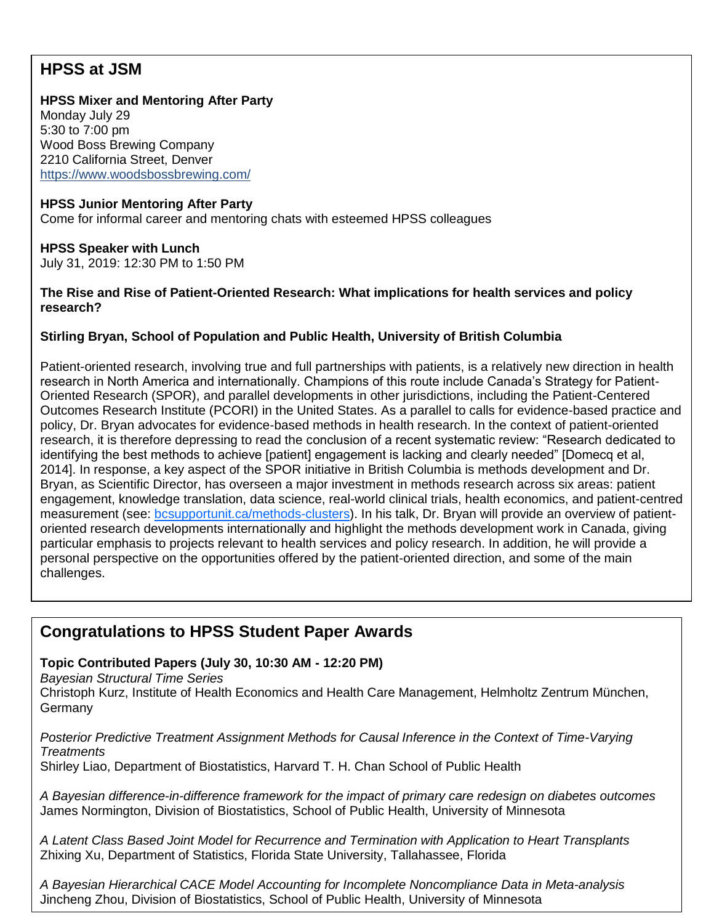## **HPSS at JSM**

#### **HPSS Mixer and Mentoring After Party**

Monday July 29 5:30 to 7:00 pm Wood Boss Brewing Company 2210 California Street, Denver [https://www.woodsbossbrewing.com/](https://urldefense.proofpoint.com/v2/url?u=https-3A__www.woodsbossbrewing.com_&d=DwMGaQ&c=eRAMFD45gAfqt84VtBcfhQ&r=4O8_5wdQpqMZJoaFKNrfdRPlwU6d-MMJCNr8j7fybmA&m=b9oGVp3a0EpAQunr9dKDGlgIRw1fePp1z34zBya3f7A&s=phffNmA8TuikzPN42qXVunNjx1pjjXFLohL8ke195Uk&e=)

#### **HPSS Junior Mentoring After Party**

Come for informal career and mentoring chats with esteemed HPSS colleagues

#### **HPSS Speaker with Lunch**

July 31, 2019: 12:30 PM to 1:50 PM

#### **The Rise and Rise of Patient-Oriented Research: What implications for health services and policy research?**

#### **Stirling Bryan, School of Population and Public Health, University of British Columbia**

Patient-oriented research, involving true and full partnerships with patients, is a relatively new direction in health research in North America and internationally. Champions of this route include Canada's Strategy for Patient-Oriented Research (SPOR), and parallel developments in other jurisdictions, including the Patient-Centered Outcomes Research Institute (PCORI) in the United States. As a parallel to calls for evidence-based practice and policy, Dr. Bryan advocates for evidence-based methods in health research. In the context of patient-oriented research, it is therefore depressing to read the conclusion of a recent systematic review: "Research dedicated to identifying the best methods to achieve [patient] engagement is lacking and clearly needed" [Domecq et al, 2014]. In response, a key aspect of the SPOR initiative in British Columbia is methods development and Dr. Bryan, as Scientific Director, has overseen a major investment in methods research across six areas: patient engagement, knowledge translation, data science, real-world clinical trials, health economics, and patient-centred measurement (see: [bcsupportunit.ca/methods-clusters\)](https://urldefense.proofpoint.com/v2/url?u=http-3A__bcsupportunit.ca_methods-2Dclusters&d=DwMGaQ&c=eRAMFD45gAfqt84VtBcfhQ&r=4O8_5wdQpqMZJoaFKNrfdRPlwU6d-MMJCNr8j7fybmA&m=b9oGVp3a0EpAQunr9dKDGlgIRw1fePp1z34zBya3f7A&s=zgWgnNGhFXhu6pcaKAbmf7cS4-ClOdyGdDfTMGzwAeY&e=). In his talk, Dr. Bryan will provide an overview of patientoriented research developments internationally and highlight the methods development work in Canada, giving particular emphasis to projects relevant to health services and policy research. In addition, he will provide a personal perspective on the opportunities offered by the patient-oriented direction, and some of the main challenges.

## **Congratulations to HPSS Student Paper Awards**

#### **Topic Contributed Papers (July 30, 10:30 AM - 12:20 PM)**

*Bayesian Structural Time Series*

Christoph Kurz, Institute of Health Economics and Health Care Management, Helmholtz Zentrum München, Germany

*Posterior Predictive Treatment Assignment Methods for Causal Inference in the Context of Time-Varying Treatments*

Shirley Liao, Department of Biostatistics, Harvard T. H. Chan School of Public Health

*A Bayesian difference-in-difference framework for the impact of primary care redesign on diabetes outcomes* James Normington, Division of Biostatistics, School of Public Health, University of Minnesota

*A Latent Class Based Joint Model for Recurrence and Termination with Application to Heart Transplants* Zhixing Xu, Department of Statistics, Florida State University, Tallahassee, Florida

HPSS Bulletin – Winter 2019 *A Bayesian Hierarchical CACE Model Accounting for Incomplete Noncompliance Data in Meta-analysis* Jincheng Zhou, Division of Biostatistics, School of Public Health, University of Minnesota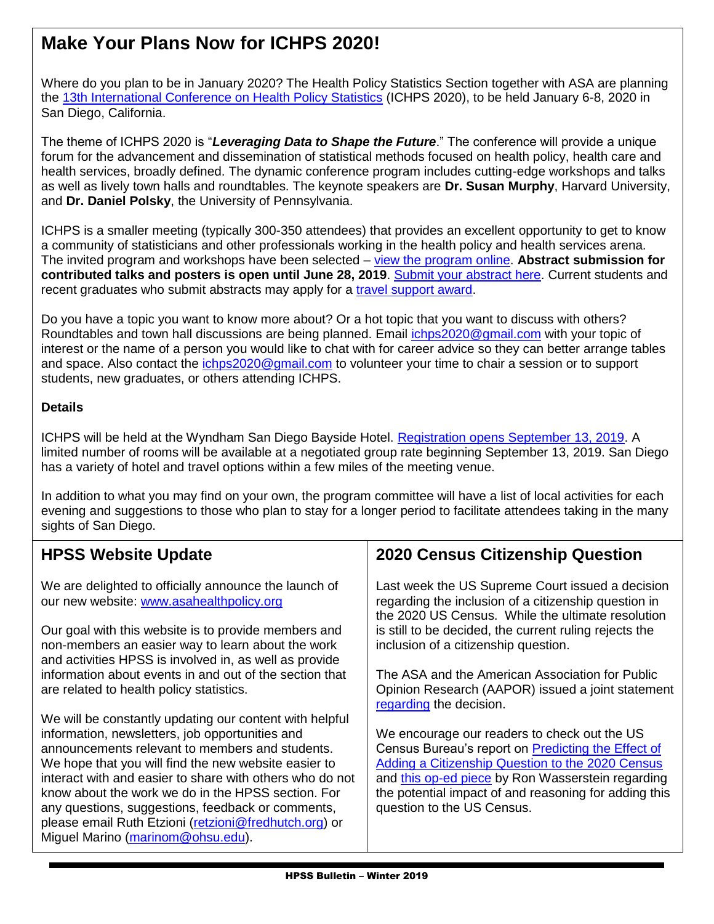# **Make Your Plans Now for ICHPS 2020!**

Where do you plan to be in January 2020? The Health Policy Statistics Section together with ASA are planning the [13th International Conference on Health Policy Statistics](https://ww2.amstat.org/meetings/ichps/2020/index.cfm) (ICHPS 2020), to be held January 6-8, 2020 in San Diego, California.

The theme of ICHPS 2020 is "*Leveraging Data to Shape the Future*." The conference will provide a unique forum for the advancement and dissemination of statistical methods focused on health policy, health care and health services, broadly defined. The dynamic conference program includes cutting-edge workshops and talks as well as lively town halls and roundtables. The keynote speakers are **Dr. Susan Murphy**, Harvard University, and **Dr. Daniel Polsky**, the University of Pennsylvania.

ICHPS is a smaller meeting (typically 300-350 attendees) that provides an excellent opportunity to get to know a community of statisticians and other professionals working in the health policy and health services arena. The invited program and workshops have been selected – [view the program online.](https://ww2.amstat.org/meetings/ichps/2020/onlineprogram/index.cfm) **Abstract submission for contributed talks and posters is open until June 28, 2019**. [Submit your abstract here.](https://ww2.amstat.org/meetings/ichps/2020/submitanabstract.cfm) Current students and recent graduates who submit abstracts may apply for a [travel support award.](https://ww2.amstat.org/meetings/ichps/2020/awards.cfm)

Do you have a topic you want to know more about? Or a hot topic that you want to discuss with others? Roundtables and town hall discussions are being planned. Email [ichps2020@gmail.com](mailto:ichps2020@gmail.com) with your topic of interest or the name of a person you would like to chat with for career advice so they can better arrange tables and space. Also contact the [ichps2020@gmail.com](mailto:ichps2020@gmail.com) to volunteer your time to chair a session or to support students, new graduates, or others attending ICHPS.

#### **Details**

ICHPS will be held at the Wyndham San Diego Bayside Hotel. [Registration opens September 13, 2019.](http://ww2.amstat.org/meetings/ichps/2020/registration.cfm) A limited number of rooms will be available at a negotiated group rate beginning September 13, 2019. San Diego has a variety of hotel and travel options within a few miles of the meeting venue.

In addition to what you may find on your own, the program committee will have a list of local activities for each evening and suggestions to those who plan to stay for a longer period to facilitate attendees taking in the many sights of San Diego.

| <b>HPSS Website Update</b>                                                                                                                                                                                                                                                                                                                                                                                                                                                                 | <b>2020 Census Citizenship Question</b>                                                                                                                                                                                                                                                            |
|--------------------------------------------------------------------------------------------------------------------------------------------------------------------------------------------------------------------------------------------------------------------------------------------------------------------------------------------------------------------------------------------------------------------------------------------------------------------------------------------|----------------------------------------------------------------------------------------------------------------------------------------------------------------------------------------------------------------------------------------------------------------------------------------------------|
| We are delighted to officially announce the launch of<br>our new website: www.asahealthpolicy.org<br>Our goal with this website is to provide members and<br>non-members an easier way to learn about the work                                                                                                                                                                                                                                                                             | Last week the US Supreme Court issued a decision<br>regarding the inclusion of a citizenship question in<br>the 2020 US Census. While the ultimate resolution<br>is still to be decided, the current ruling rejects the<br>inclusion of a citizenship question.                                    |
| and activities HPSS is involved in, as well as provide<br>information about events in and out of the section that<br>are related to health policy statistics.                                                                                                                                                                                                                                                                                                                              | The ASA and the American Association for Public<br>Opinion Research (AAPOR) issued a joint statement<br>regarding the decision.                                                                                                                                                                    |
| We will be constantly updating our content with helpful<br>information, newsletters, job opportunities and<br>announcements relevant to members and students.<br>We hope that you will find the new website easier to<br>interact with and easier to share with others who do not<br>know about the work we do in the HPSS section. For<br>any questions, suggestions, feedback or comments,<br>please email Ruth Etzioni (retzioni@fredhutch.org) or<br>Miguel Marino (marinom@ohsu.edu). | We encourage our readers to check out the US<br>Census Bureau's report on Predicting the Effect of<br>Adding a Citizenship Question to the 2020 Census<br>and this op-ed piece by Ron Wasserstein regarding<br>the potential impact of and reasoning for adding this<br>question to the US Census. |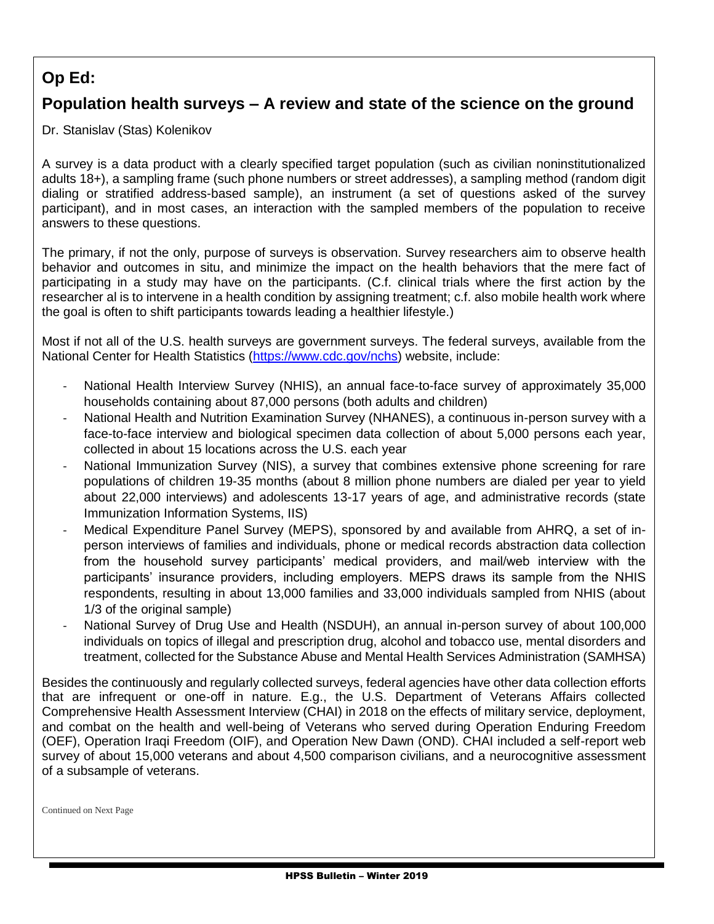## **Op Ed:**

## **Population health surveys – A review and state of the science on the ground**

Dr. Stanislav (Stas) Kolenikov

A survey is a data product with a clearly specified target population (such as civilian noninstitutionalized adults 18+), a sampling frame (such phone numbers or street addresses), a sampling method (random digit dialing or stratified address-based sample), an instrument (a set of questions asked of the survey participant), and in most cases, an interaction with the sampled members of the population to receive answers to these questions.

The primary, if not the only, purpose of surveys is observation. Survey researchers aim to observe health behavior and outcomes in situ, and minimize the impact on the health behaviors that the mere fact of participating in a study may have on the participants. (C.f. clinical trials where the first action by the researcher al is to intervene in a health condition by assigning treatment; c.f. also mobile health work where the goal is often to shift participants towards leading a healthier lifestyle.)

Most if not all of the U.S. health surveys are government surveys. The federal surveys, available from the National Center for Health Statistics [\(https://www.cdc.gov/nchs\)](https://www.cdc.gov/nchs) website, include:

- National Health Interview Survey (NHIS), an annual face-to-face survey of approximately 35,000 households containing about 87,000 persons (both adults and children)
- National Health and Nutrition Examination Survey (NHANES), a continuous in-person survey with a face-to-face interview and biological specimen data collection of about 5,000 persons each year, collected in about 15 locations across the U.S. each year
- National Immunization Survey (NIS), a survey that combines extensive phone screening for rare populations of children 19-35 months (about 8 million phone numbers are dialed per year to yield about 22,000 interviews) and adolescents 13-17 years of age, and administrative records (state Immunization Information Systems, IIS)
- Medical Expenditure Panel Survey (MEPS), sponsored by and available from AHRQ, a set of inperson interviews of families and individuals, phone or medical records abstraction data collection from the household survey participants' medical providers, and mail/web interview with the participants' insurance providers, including employers. MEPS draws its sample from the NHIS respondents, resulting in about 13,000 families and 33,000 individuals sampled from NHIS (about 1/3 of the original sample)
- National Survey of Drug Use and Health (NSDUH), an annual in-person survey of about 100,000 individuals on topics of illegal and prescription drug, alcohol and tobacco use, mental disorders and treatment, collected for the Substance Abuse and Mental Health Services Administration (SAMHSA)

Besides the continuously and regularly collected surveys, federal agencies have other data collection efforts that are infrequent or one-off in nature. E.g., the U.S. Department of Veterans Affairs collected Comprehensive Health Assessment Interview (CHAI) in 2018 on the effects of military service, deployment, and combat on the health and well-being of Veterans who served during Operation Enduring Freedom (OEF), Operation Iraqi Freedom (OIF), and Operation New Dawn (OND). CHAI included a self-report web survey of about 15,000 veterans and about 4,500 comparison civilians, and a neurocognitive assessment of a subsample of veterans.

Continued on Next Page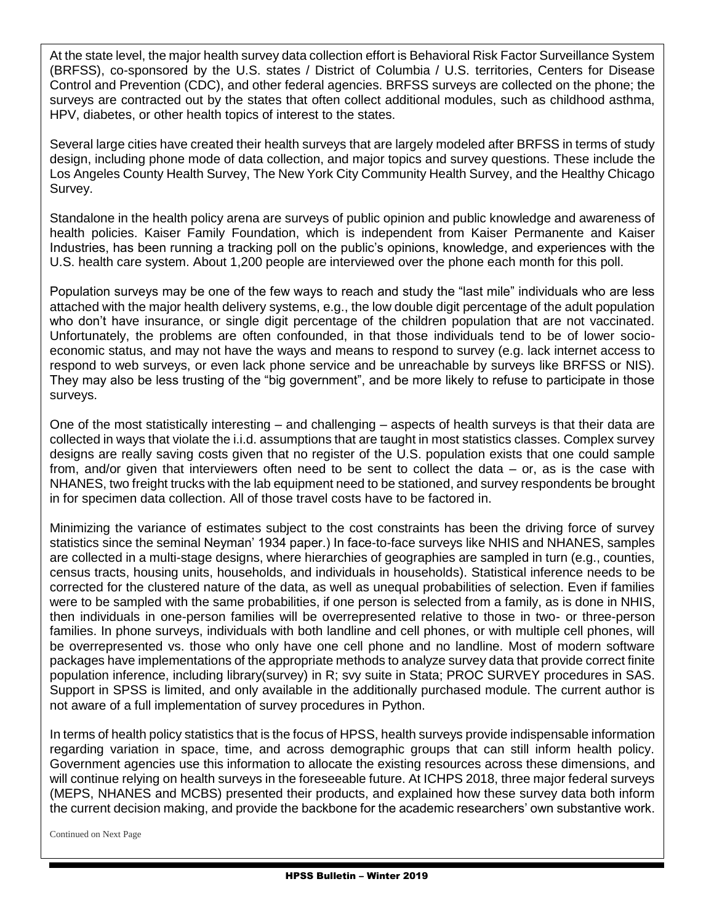At the state level, the major health survey data collection effort is Behavioral Risk Factor Surveillance System (BRFSS), co-sponsored by the U.S. states / District of Columbia / U.S. territories, Centers for Disease Control and Prevention (CDC), and other federal agencies. BRFSS surveys are collected on the phone; the surveys are contracted out by the states that often collect additional modules, such as childhood asthma, HPV, diabetes, or other health topics of interest to the states.

Several large cities have created their health surveys that are largely modeled after BRFSS in terms of study design, including phone mode of data collection, and major topics and survey questions. These include the Los Angeles County Health Survey, The New York City Community Health Survey, and the Healthy Chicago Survey.

Standalone in the health policy arena are surveys of public opinion and public knowledge and awareness of health policies. Kaiser Family Foundation, which is independent from Kaiser Permanente and Kaiser Industries, has been running a tracking poll on the public's opinions, knowledge, and experiences with the U.S. health care system. About 1,200 people are interviewed over the phone each month for this poll.

Population surveys may be one of the few ways to reach and study the "last mile" individuals who are less attached with the major health delivery systems, e.g., the low double digit percentage of the adult population who don't have insurance, or single digit percentage of the children population that are not vaccinated. Unfortunately, the problems are often confounded, in that those individuals tend to be of lower socioeconomic status, and may not have the ways and means to respond to survey (e.g. lack internet access to respond to web surveys, or even lack phone service and be unreachable by surveys like BRFSS or NIS). They may also be less trusting of the "big government", and be more likely to refuse to participate in those surveys.

One of the most statistically interesting – and challenging – aspects of health surveys is that their data are collected in ways that violate the i.i.d. assumptions that are taught in most statistics classes. Complex survey designs are really saving costs given that no register of the U.S. population exists that one could sample from, and/or given that interviewers often need to be sent to collect the data – or, as is the case with NHANES, two freight trucks with the lab equipment need to be stationed, and survey respondents be brought in for specimen data collection. All of those travel costs have to be factored in.

Minimizing the variance of estimates subject to the cost constraints has been the driving force of survey statistics since the seminal Neyman' 1934 paper.) In face-to-face surveys like NHIS and NHANES, samples are collected in a multi-stage designs, where hierarchies of geographies are sampled in turn (e.g., counties, census tracts, housing units, households, and individuals in households). Statistical inference needs to be corrected for the clustered nature of the data, as well as unequal probabilities of selection. Even if families were to be sampled with the same probabilities, if one person is selected from a family, as is done in NHIS, then individuals in one-person families will be overrepresented relative to those in two- or three-person families. In phone surveys, individuals with both landline and cell phones, or with multiple cell phones, will be overrepresented vs. those who only have one cell phone and no landline. Most of modern software packages have implementations of the appropriate methods to analyze survey data that provide correct finite population inference, including library(survey) in R; svy suite in Stata; PROC SURVEY procedures in SAS. Support in SPSS is limited, and only available in the additionally purchased module. The current author is not aware of a full implementation of survey procedures in Python.

In terms of health policy statistics that is the focus of HPSS, health surveys provide indispensable information regarding variation in space, time, and across demographic groups that can still inform health policy. Government agencies use this information to allocate the existing resources across these dimensions, and will continue relying on health surveys in the foreseeable future. At ICHPS 2018, three major federal surveys (MEPS, NHANES and MCBS) presented their products, and explained how these survey data both inform the current decision making, and provide the backbone for the academic researchers' own substantive work.

Continued on Next Page